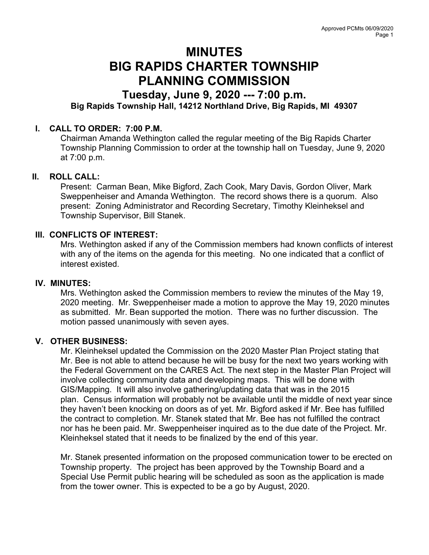# MINUTES BIG RAPIDS CHARTER TOWNSHIP PLANNING COMMISSION

# Tuesday, June 9, 2020 --- 7:00 p.m. Big Rapids Township Hall, 14212 Northland Drive, Big Rapids, MI 49307

# I. CALL TO ORDER: 7:00 P.M.

Chairman Amanda Wethington called the regular meeting of the Big Rapids Charter Township Planning Commission to order at the township hall on Tuesday, June 9, 2020 at 7:00 p.m.

## II. ROLL CALL:

Present: Carman Bean, Mike Bigford, Zach Cook, Mary Davis, Gordon Oliver, Mark Sweppenheiser and Amanda Wethington. The record shows there is a quorum. Also present: Zoning Administrator and Recording Secretary, Timothy Kleinheksel and Township Supervisor, Bill Stanek.

### III. CONFLICTS OF INTEREST:

Mrs. Wethington asked if any of the Commission members had known conflicts of interest with any of the items on the agenda for this meeting. No one indicated that a conflict of interest existed.

#### IV. MINUTES:

Mrs. Wethington asked the Commission members to review the minutes of the May 19, 2020 meeting. Mr. Sweppenheiser made a motion to approve the May 19, 2020 minutes as submitted. Mr. Bean supported the motion. There was no further discussion. The motion passed unanimously with seven ayes.

#### V. OTHER BUSINESS:

Mr. Kleinheksel updated the Commission on the 2020 Master Plan Project stating that Mr. Bee is not able to attend because he will be busy for the next two years working with the Federal Government on the CARES Act. The next step in the Master Plan Project will involve collecting community data and developing maps. This will be done with GIS/Mapping. It will also involve gathering/updating data that was in the 2015 plan. Census information will probably not be available until the middle of next year since they haven't been knocking on doors as of yet. Mr. Bigford asked if Mr. Bee has fulfilled the contract to completion. Mr. Stanek stated that Mr. Bee has not fulfilled the contract nor has he been paid. Mr. Sweppenheiser inquired as to the due date of the Project. Mr. Kleinheksel stated that it needs to be finalized by the end of this year.

Mr. Stanek presented information on the proposed communication tower to be erected on Township property. The project has been approved by the Township Board and a Special Use Permit public hearing will be scheduled as soon as the application is made from the tower owner. This is expected to be a go by August, 2020.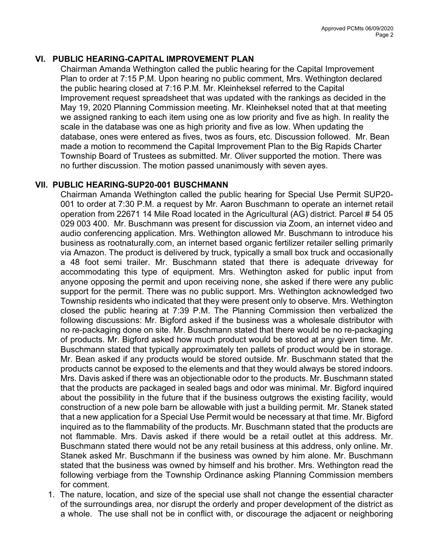# VI. PUBLIC HEARING-CAPITAL IMPROVEMENT PLAN

Chairman Amanda Wethington called the public hearing for the Capital Improvement Plan to order at 7:15 P.M. Upon hearing no public comment, Mrs. Wethington declared the public hearing closed at 7:16 P.M. Mr. Kleinheksel referred to the Capital Improvement request spreadsheet that was updated with the rankings as decided in the May 19, 2020 Planning Commission meeting. Mr. Kleinheksel noted that at that meeting we assigned ranking to each item using one as low priority and five as high. In reality the scale in the database was one as high priority and five as low. When updating the database, ones were entered as fives, twos as fours, etc. Discussion followed. Mr. Bean made a motion to recommend the Capital Improvement Plan to the Big Rapids Charter Township Board of Trustees as submitted. Mr. Oliver supported the motion. There was no further discussion. The motion passed unanimously with seven ayes.

## VII. PUBLIC HEARING-SUP20-001 BUSCHMANN

Chairman Amanda Wethington called the public hearing for Special Use Permit SUP20- 001 to order at 7:30 P.M. a request by Mr. Aaron Buschmann to operate an internet retail operation from 22671 14 Mile Road located in the Agricultural (AG) district. Parcel # 54 05 029 003 400. Mr. Buschmann was present for discussion via Zoom, an internet video and audio conferencing application. Mrs. Wethington allowed Mr. Buschmann to introduce his business as rootnaturally.com, an internet based organic fertilizer retailer selling primarily via Amazon. The product is delivered by truck, typically a small box truck and occasionally a 48 foot semi trailer. Mr. Buschmann stated that there is adequate driveway for accommodating this type of equipment. Mrs. Wethington asked for public input from anyone opposing the permit and upon receiving none, she asked if there were any public support for the permit. There was no public support. Mrs. Wethington acknowledged two Township residents who indicated that they were present only to observe. Mrs. Wethington closed the public hearing at 7:39 P.M. The Planning Commission then verbalized the following discussions: Mr. Bigford asked if the business was a wholesale distributor with no re-packaging done on site. Mr. Buschmann stated that there would be no re-packaging of products. Mr. Bigford asked how much product would be stored at any given time. Mr. Buschmann stated that typically approximately ten pallets of product would be in storage. Mr. Bean asked if any products would be stored outside. Mr. Buschmann stated that the products cannot be exposed to the elements and that they would always be stored indoors. Mrs. Davis asked if there was an objectionable odor to the products. Mr. Buschmann stated that the products are packaged in sealed bags and odor was minimal. Mr. Bigford inquired about the possibility in the future that if the business outgrows the existing facility, would construction of a new pole barn be allowable with just a building permit. Mr. Stanek stated that a new application for a Special Use Permit would be necessary at that time. Mr. Bigford inquired as to the flammability of the products. Mr. Buschmann stated that the products are not flammable. Mrs. Davis asked if there would be a retail outlet at this address. Mr. Buschmann stated there would not be any retail business at this address, only online. Mr. Stanek asked Mr. Buschmann if the business was owned by him alone. Mr. Buschmann stated that the business was owned by himself and his brother. Mrs. Wethington read the following verbiage from the Township Ordinance asking Planning Commission members for comment.

1. The nature, location, and size of the special use shall not change the essential character of the surroundings area, nor disrupt the orderly and proper development of the district as a whole. The use shall not be in conflict with, or discourage the adjacent or neighboring